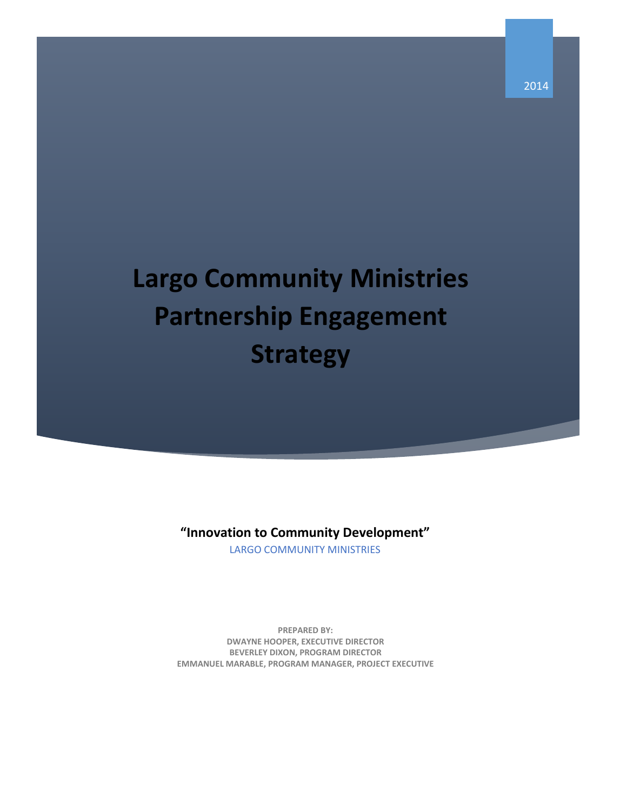# **Largo Community Ministries Partnership Engagement Strategy**

**"Innovation to Community Development"**

LARGO COMMUNITY MINISTRIES

**PREPARED BY: DWAYNE HOOPER, EXECUTIVE DIRECTOR BEVERLEY DIXON, PROGRAM DIRECTOR EMMANUEL MARABLE, PROGRAM MANAGER, PROJECT EXECUTIVE**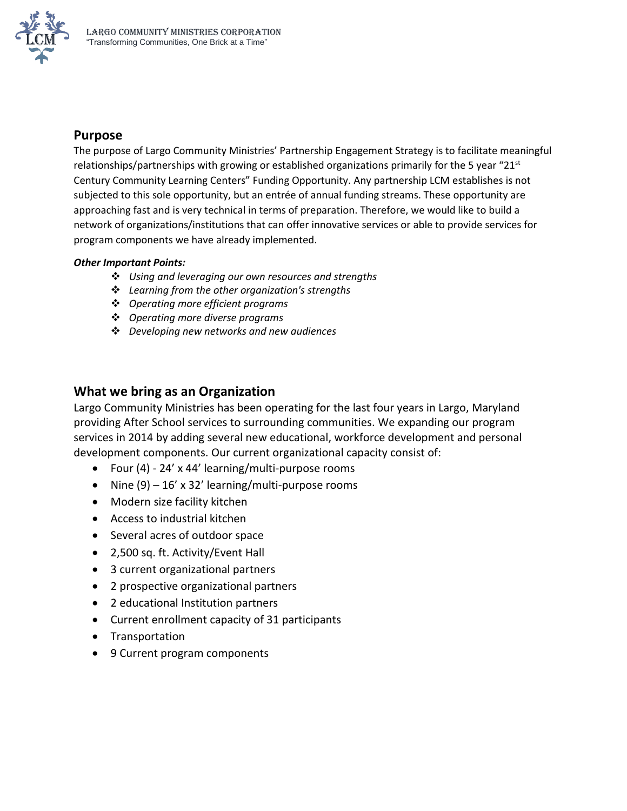

## **Purpose**

The purpose of Largo Community Ministries' Partnership Engagement Strategy is to facilitate meaningful relationships/partnerships with growing or established organizations primarily for the 5 year "21<sup>st</sup> Century Community Learning Centers" Funding Opportunity. Any partnership LCM establishes is not subjected to this sole opportunity, but an entrée of annual funding streams. These opportunity are approaching fast and is very technical in terms of preparation. Therefore, we would like to build a network of organizations/institutions that can offer innovative services or able to provide services for program components we have already implemented.

#### *Other Important Points:*

- *Using and leveraging our own resources and strengths*
- *Learning from the other organization's strengths*
- *Operating more efficient programs*
- *Operating more diverse programs*
- *Developing new networks and new audiences*

### **What we bring as an Organization**

Largo Community Ministries has been operating for the last four years in Largo, Maryland providing After School services to surrounding communities. We expanding our program services in 2014 by adding several new educational, workforce development and personal development components. Our current organizational capacity consist of:

- Four (4) 24' x 44' learning/multi-purpose rooms
- Nine  $(9) 16'$  x 32' learning/multi-purpose rooms
- Modern size facility kitchen
- Access to industrial kitchen
- Several acres of outdoor space
- 2,500 sq. ft. Activity/Event Hall
- 3 current organizational partners
- 2 prospective organizational partners
- 2 educational Institution partners
- Current enrollment capacity of 31 participants
- Transportation
- 9 Current program components